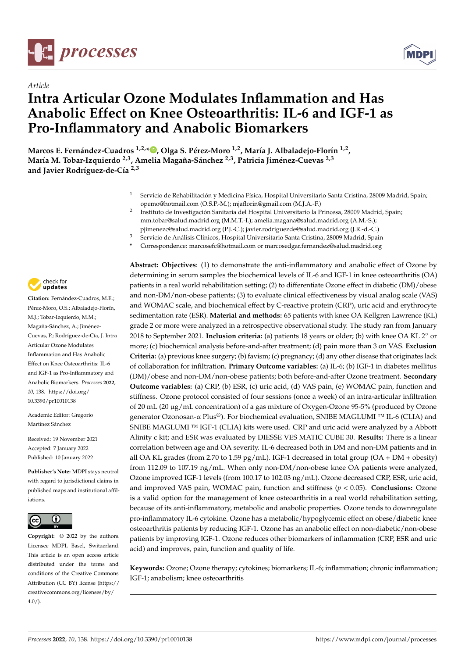



# *Article* **Intra Articular Ozone Modulates Inflammation and Has Anabolic Effect on Knee Osteoarthritis: IL-6 and IGF-1 as Pro-Inflammatory and Anabolic Biomarkers**

**Marcos E. Fernández-Cuadros 1,2,\* [,](https://orcid.org/0000-0001-6153-9075) Olga S. Pérez-Moro 1,2, María J. Albaladejo-Florín 1,2 , María M. Tobar-Izquierdo 2,3, Amelia Magaña-Sánchez 2,3, Patricia Jiménez-Cuevas 2,3 and Javier Rodríguez-de-Cía 2,3**

- <sup>1</sup> Servicio de Rehabilitación y Medicina Física, Hospital Universitario Santa Cristina, 28009 Madrid, Spain; opemo@hotmail.com (O.S.P.-M.); mjaflorin@gmail.com (M.J.A.-F.)
- 2 Instituto de Investigación Sanitaria del Hospital Universitario la Princesa, 28009 Madrid, Spain; mm.tobar@salud.madrid.org (M.M.T.-I.); amelia.magana@salud.madrid.org (A.M.-S.); pjimenezc@salud.madrid.org (P.J.-C.); javier.rodriguezde@salud.madrid.org (J.R.-d.-C.)
- <sup>3</sup> Servicio de Análisis Clínicos, Hospital Universitario Santa Cristina, 28009 Madrid, Spain
- **\*** Correspondence: marcosefc@hotmail.com or marcosedgar.fernandez@salud.madrid.org



**Citation:** Fernández-Cuadros, M.E.; Pérez-Moro, O.S.; Albaladejo-Florín, M.J.; Tobar-Izquierdo, M.M.; Magaña-Sánchez, A.; Jiménez-Cuevas, P.; Rodríguez-de-Cía, J. Intra Articular Ozone Modulates Inflammation and Has Anabolic Effect on Knee Osteoarthritis: IL-6 and IGF-1 as Pro-Inflammatory and Anabolic Biomarkers. *Processes* **2022**, *10*, 138. [https://doi.org/](https://doi.org/10.3390/pr10010138) [10.3390/pr10010138](https://doi.org/10.3390/pr10010138)

Academic Editor: Gregorio Martínez Sánchez

Received: 19 November 2021 Accepted: 7 January 2022 Published: 10 January 2022

**Publisher's Note:** MDPI stays neutral with regard to jurisdictional claims in published maps and institutional affiliations.



**Copyright:** © 2022 by the authors. Licensee MDPI, Basel, Switzerland. This article is an open access article distributed under the terms and conditions of the Creative Commons Attribution (CC BY) license [\(https://](https://creativecommons.org/licenses/by/4.0/) [creativecommons.org/licenses/by/](https://creativecommons.org/licenses/by/4.0/)  $4.0/$ ).

**Abstract: Objectives**: (1) to demonstrate the anti-inflammatory and anabolic effect of Ozone by determining in serum samples the biochemical levels of IL-6 and IGF-1 in knee osteoarthritis (OA) patients in a real world rehabilitation setting; (2) to differentiate Ozone effect in diabetic (DM)/obese and non-DM/non-obese patients; (3) to evaluate clinical effectiveness by visual analog scale (VAS) and WOMAC scale, and biochemical effect by C-reactive protein (CRP), uric acid and erythrocyte sedimentation rate (ESR). **Material and methods:** 65 patients with knee OA Kellgren Lawrence (KL) grade 2 or more were analyzed in a retrospective observational study. The study ran from January 2018 to September 2021. **Inclusion criteria:** (a) patients 18 years or older; (b) with knee OA KL 2◦ or more; (c) biochemical analysis before-and-after treatment; (d) pain more than 3 on VAS. **Exclusion Criteria:** (a) previous knee surgery; (b) favism; (c) pregnancy; (d) any other disease that originates lack of collaboration for infiltration. **Primary Outcome variables:** (a) IL-6; (b) IGF-1 in diabetes mellitus (DM)/obese and non-DM/non-obese patients; both before-and-after Ozone treatment. **Secondary Outcome variables:** (a) CRP, (b) ESR, (c) uric acid, (d) VAS pain, (e) WOMAC pain, function and stiffness. Ozone protocol consisted of four sessions (once a week) of an intra-articular infiltration of 20 mL (20 µg/mL concentration) of a gas mixture of Oxygen-Ozone 95-5% (produced by Ozone generator Ozonosan-α Plus®). For biochemical evaluation, SNIBE MAGLUMI ™ IL-6 (CLIA) and SNIBE MAGLUMI ™ IGF-1 (CLIA) kits were used. CRP and uric acid were analyzed by a Abbott Alinity c kit; and ESR was evaluated by DIESSE VES MATIC CUBE 30. **Results:** There is a linear correlation between age and OA severity. IL-6 decreased both in DM and non-DM patients and in all OA KL grades (from 2.70 to 1.59  $pg/mL$ ). IGF-1 decreased in total group (OA + DM + obesity) from 112.09 to 107.19 ng/mL. When only non-DM/non-obese knee OA patients were analyzed, Ozone improved IGF-1 levels (from 100.17 to 102.03 ng/mL). Ozone decreased CRP, ESR, uric acid, and improved VAS pain, WOMAC pain, function and stiffness (*p* < 0.05). **Conclusions:** Ozone is a valid option for the management of knee osteoarthritis in a real world rehabilitation setting, because of its anti-inflammatory, metabolic and anabolic properties. Ozone tends to downregulate pro-inflammatory IL-6 cytokine. Ozone has a metabolic/hypoglycemic effect on obese/diabetic knee osteoarthritis patients by reducing IGF-1. Ozone has an anabolic effect on non-diabetic/non-obese patients by improving IGF-1. Ozone reduces other biomarkers of inflammation (CRP, ESR and uric acid) and improves, pain, function and quality of life.

**Keywords:** Ozone; Ozone therapy; cytokines; biomarkers; IL-6; inflammation; chronic inflammation; IGF-1; anabolism; knee osteoarthritis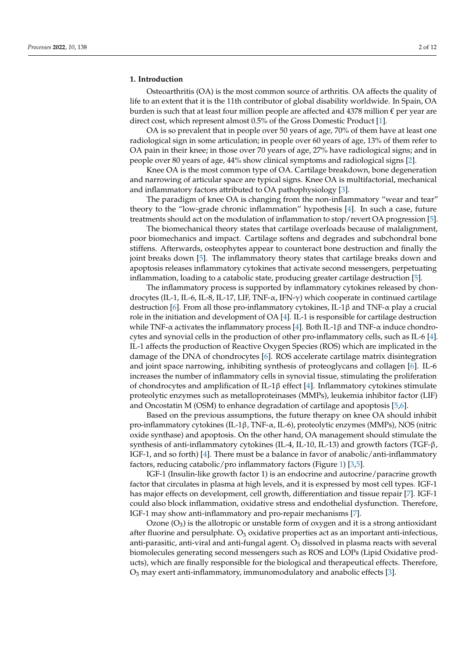# **1. Introduction**

Osteoarthritis (OA) is the most common source of arthritis. OA affects the quality of life to an extent that it is the 11th contributor of global disability worldwide. In Spain, OA burden is such that at least four million people are affected and 4378 million  $\epsilon$  per year are direct cost, which represent almost 0.5% of the Gross Domestic Product [\[1\]](#page-9-0).

OA is so prevalent that in people over 50 years of age, 70% of them have at least one radiological sign in some articulation; in people over 60 years of age, 13% of them refer to OA pain in their knee; in those over 70 years of age, 27% have radiological signs; and in people over 80 years of age, 44% show clinical symptoms and radiological signs [\[2\]](#page-9-1).

Knee OA is the most common type of OA. Cartilage breakdown, bone degeneration and narrowing of articular space are typical signs. Knee OA is multifactorial, mechanical and inflammatory factors attributed to OA pathophysiology [\[3\]](#page-9-2).

The paradigm of knee OA is changing from the non-inflammatory "wear and tear" theory to the "low-grade chronic inflammation" hypothesis [\[4\]](#page-9-3). In such a case, future treatments should act on the modulation of inflammation to stop/revert OA progression [\[5\]](#page-9-4).

The biomechanical theory states that cartilage overloads because of malalignment, poor biomechanics and impact. Cartilage softens and degrades and subchondral bone stiffens. Afterwards, osteophytes appear to counteract bone destruction and finally the joint breaks down [\[5\]](#page-9-4). The inflammatory theory states that cartilage breaks down and apoptosis releases inflammatory cytokines that activate second messengers, perpetuating inflammation, loading to a catabolic state, producing greater cartilage destruction [\[5\]](#page-9-4).

The inflammatory process is supported by inflammatory cytokines released by chondrocytes (IL-1, IL-6, IL-8, IL-17, LIF, TNF- $\alpha$ , IFN- $\gamma$ ) which cooperate in continued cartilage destruction [\[6\]](#page-9-5). From all those pro-inflammatory cytokines, IL-1β and TNF-α play a crucial role in the initiation and development of OA [\[4\]](#page-9-3). IL-1 is responsible for cartilage destruction while TNF- $\alpha$  activates the inflammatory process [\[4\]](#page-9-3). Both IL-1 $\beta$  and TNF- $\alpha$  induce chondrocytes and synovial cells in the production of other pro-inflammatory cells, such as IL-6 [\[4\]](#page-9-3). IL-1 affects the production of Reactive Oxygen Species (ROS) which are implicated in the damage of the DNA of chondrocytes [\[6\]](#page-9-5). ROS accelerate cartilage matrix disintegration and joint space narrowing, inhibiting synthesis of proteoglycans and collagen [\[6\]](#page-9-5). IL-6 increases the number of inflammatory cells in synovial tissue, stimulating the proliferation of chondrocytes and amplification of IL-1β effect [\[4\]](#page-9-3). Inflammatory cytokines stimulate proteolytic enzymes such as metalloproteinases (MMPs), leukemia inhibitor factor (LIF) and Oncostatin M (OSM) to enhance degradation of cartilage and apoptosis [\[5](#page-9-4)[,6\]](#page-9-5).

Based on the previous assumptions, the future therapy on knee OA should inhibit pro-inflammatory cytokines (IL-1β, TNF-α, IL-6), proteolytic enzymes (MMPs), NOS (nitric oxide synthase) and apoptosis. On the other hand, OA management should stimulate the synthesis of anti-inflammatory cytokines (IL-4, IL-10, IL-13) and growth factors (TGF-β, IGF-1, and so forth) [\[4\]](#page-9-3). There must be a balance in favor of anabolic/anti-inflammatory factors, reducing catabolic/pro inflammatory factors (Figure [1\)](#page-2-0) [\[3,](#page-9-2)[5\]](#page-9-4).

IGF-1 (Insulin-like growth factor 1) is an endocrine and autocrine/paracrine growth factor that circulates in plasma at high levels, and it is expressed by most cell types. IGF-1 has major effects on development, cell growth, differentiation and tissue repair [\[7\]](#page-9-6). IGF-1 could also block inflammation, oxidative stress and endothelial dysfunction. Therefore, IGF-1 may show anti-inflammatory and pro-repair mechanisms [\[7\]](#page-9-6).

Ozone  $(O_3)$  is the allotropic or unstable form of oxygen and it is a strong antioxidant after fluorine and persulphate.  $O_3$  oxidative properties act as an important anti-infectious, anti-parasitic, anti-viral and anti-fungal agent.  $O_3$  dissolved in plasma reacts with several biomolecules generating second messengers such as ROS and LOPs (Lipid Oxidative products), which are finally responsible for the biological and therapeutical effects. Therefore,  $O_3$  may exert anti-inflammatory, immunomodulatory and anabolic effects [\[3\]](#page-9-2).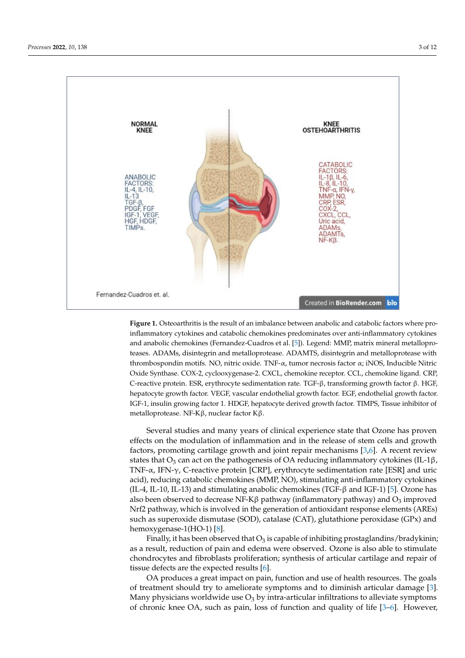<span id="page-2-0"></span>

**Figure 1.** Osteoarthritis is the result of an imbalance between anabolic and catabolic factors where pro-<br> inflammatory cytokines and catabolic chemokines predominates over anti-inflammatory cytokines <br> and anabolic chemokines (Fernandez-Cuadros et al. [\[5\]](#page-9-4)). Legend: MMP, matrix mineral metalloproteases. ADAMs, disintegrin and metalloprotease. ADAMTS, disintegrin and metalloprotease with<br>the state of the state of the state with the state of the state of the state of the state of the state of the thrombospondin motifs. NO, nitric oxide. TNF-α, tumor necrosis factor α; iNOS, Inducible Nitric Oxide Synthase. COX-2, cyclooxygenase-2. CXCL, chemokine receptor. CCL, chemokine ligand. CRP, computer sedi-C-reactive protein. ESR, erythrocyte sedimentation rate. TGF-β, transforming growth factor β. HGF,<br>hepatocyte sedimentation rate. TGF-β, transforming growth factor β. HGF, hepatocyte growth factor. VEGF, vascular endothelial growth factor. EGF, endothelial growth factor.<br>ICF-1, insulin insulin insulin and the contractor. In the contractor of the contractor. In the contractor of the contracto IGF-1, insulin growing factor 1. HDGF, hepatocyte derived growth factor. TIMPS, Tissue inhibitor of metalloprotease. NF-Kβ, nuclear factor Kβ. metalloprotease. NF-Kβ, nuclear factor Kβ.

effects on the modulation of inflammation and in the release of stem cells and growth factors, promoting cartilage growth and joint repair mechanisms [\[3,](#page-9-2)[6\]](#page-9-5). A recent review states that O<sub>3</sub> can act on the pathogenesis of OA reducing inflammatory cytokines (IL-1β, TNF-α, IFN-γ, C-reactive protein [CRP], erythrocyte sedimentation rate [ESR] and uric acid), reducing catabolic chemokines (MMP, NO), stimulating anti-inflammatory cytokines (IL-4, IL-10, IL-13) and stimulating anabolic chemokines (TGF-β and IGF-1) [\[5\]](#page-9-4). Ozone has also been observed to decrease NF-K $\beta$  pathway (inflammatory pathway) and  $O_3$  improved Nrf2 pathway, which is involved in the generation of antioxidant response elements (AREs) such as superoxide dismutase (SOD), catalase (CAT), glutathione peroxidase (GPx) and hemoxygenase-1(HO-1) [8]. Several studies and many years of clinical experience state that Ozone has proven

Finally, it has been observed that  $O_3$  is capable of inhibiting prostaglandins/bradykinin; as a result, reduction of pain and edema were observed. Ozone is also able to stimulate chondrocytes and fibroblasts proliferation; synthesis of articular cartilage and repair of tissue defects are the expected results  $[6]$ .

OA produces a great impact on pain, function and use of health resources. The goals of treatment should try to ameliorate symptoms and to diminish articular damage [3]. Many physicians worldwide use  $O_3$  by intra-articular infiltrations to alleviate symptoms of chronic knee OA, such [a](#page-9-2)s pain, loss of function a[nd](#page-9-5) quality of life [3–6]. However,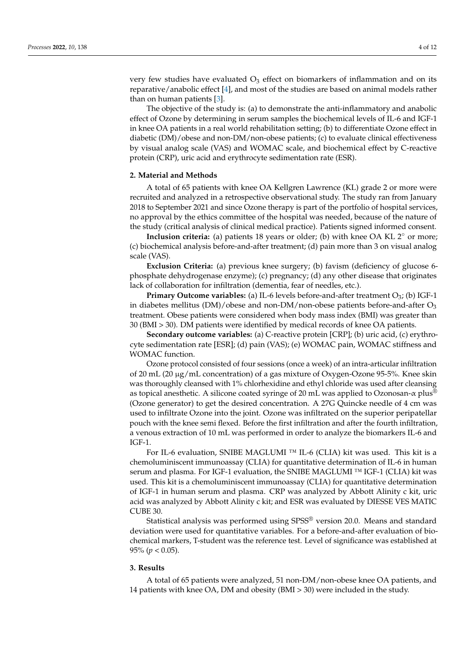very few studies have evaluated  $O_3$  effect on biomarkers of inflammation and on its reparative/anabolic effect [\[4\]](#page-9-3), and most of the studies are based on animal models rather than on human patients [\[3\]](#page-9-2).

The objective of the study is: (a) to demonstrate the anti-inflammatory and anabolic effect of Ozone by determining in serum samples the biochemical levels of IL-6 and IGF-1 in knee OA patients in a real world rehabilitation setting; (b) to differentiate Ozone effect in diabetic (DM)/obese and non-DM/non-obese patients; (c) to evaluate clinical effectiveness by visual analog scale (VAS) and WOMAC scale, and biochemical effect by C-reactive protein (CRP), uric acid and erythrocyte sedimentation rate (ESR).

# **2. Material and Methods**

A total of 65 patients with knee OA Kellgren Lawrence (KL) grade 2 or more were recruited and analyzed in a retrospective observational study. The study ran from January 2018 to September 2021 and since Ozone therapy is part of the portfolio of hospital services, no approval by the ethics committee of the hospital was needed, because of the nature of the study (critical analysis of clinical medical practice). Patients signed informed consent.

**Inclusion criteria:** (a) patients 18 years or older; (b) with knee OA KL 2◦ or more; (c) biochemical analysis before-and-after treatment; (d) pain more than 3 on visual analog scale (VAS).

**Exclusion Criteria:** (a) previous knee surgery; (b) favism (deficiency of glucose 6 phosphate dehydrogenase enzyme); (c) pregnancy; (d) any other disease that originates lack of collaboration for infiltration (dementia, fear of needles, etc.).

**Primary Outcome variables:** (a) IL-6 levels before-and-after treatment O<sub>3</sub>; (b) IGF-1 in diabetes mellitus  $(DM)/$ obese and non- $DM$ /non-obese patients before-and-after  $O<sub>3</sub>$ treatment. Obese patients were considered when body mass index (BMI) was greater than 30 (BMI > 30). DM patients were identified by medical records of knee OA patients.

**Secondary outcome variables:** (a) C-reactive protein [CRP]; (b) uric acid, (c) erythrocyte sedimentation rate [ESR]; (d) pain (VAS); (e) WOMAC pain, WOMAC stiffness and WOMAC function.

Ozone protocol consisted of four sessions (once a week) of an intra-articular infiltration of 20 mL (20 µg/mL concentration) of a gas mixture of Oxygen-Ozone 95-5%. Knee skin was thoroughly cleansed with 1% chlorhexidine and ethyl chloride was used after cleansing as topical anesthetic. A silicone coated syringe of 20 mL was applied to Ozonosan- $\alpha$  plus<sup>®</sup> (Ozone generator) to get the desired concentration. A 27G Quincke needle of 4 cm was used to infiltrate Ozone into the joint. Ozone was infiltrated on the superior peripatellar pouch with the knee semi flexed. Before the first infiltration and after the fourth infiltration, a venous extraction of 10 mL was performed in order to analyze the biomarkers IL-6 and IGF-1.

For IL-6 evaluation, SNIBE MAGLUMI ™ IL-6 (CLIA) kit was used. This kit is a chemoluminiscent immunoassay (CLIA) for quantitative determination of IL-6 in human serum and plasma. For IGF-1 evaluation, the SNIBE MAGLUMI ™ IGF-1 (CLIA) kit was used. This kit is a chemoluminiscent immunoassay (CLIA) for quantitative determination of IGF-1 in human serum and plasma. CRP was analyzed by Abbott Alinity c kit, uric acid was analyzed by Abbott Alinity c kit; and ESR was evaluated by DIESSE VES MATIC CUBE 30.

Statistical analysis was performed using SPSS® version 20.0. Means and standard deviation were used for quantitative variables. For a before-and-after evaluation of biochemical markers, T-student was the reference test. Level of significance was established at 95% (*p* < 0.05).

## **3. Results**

A total of 65 patients were analyzed, 51 non-DM/non-obese knee OA patients, and 14 patients with knee OA, DM and obesity (BMI > 30) were included in the study.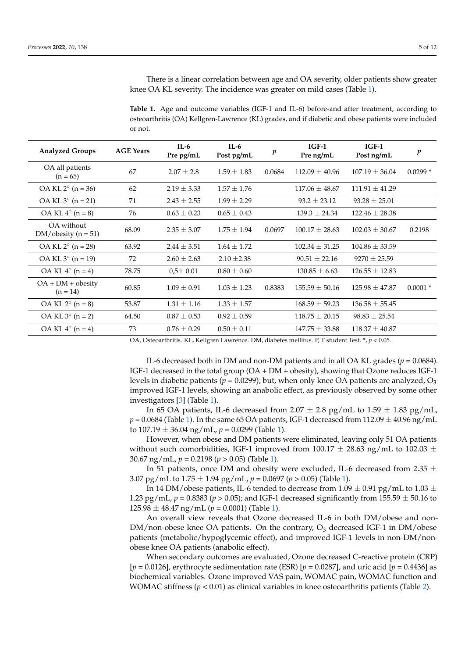There is a linear correlation between age and OA severity, older patients show greater knee OA KL severity. The incidence was greater on mild cases (Table [1\)](#page-4-0).

<span id="page-4-0"></span>**Table 1.** Age and outcome variables (IGF-1 and IL-6) before-and after treatment, according to osteoarthritis (OA) Kellgren-Lawrence (KL) grades, and if diabetic and obese patients were included or not.

| <b>Analyzed Groups</b>               | <b>AGE Years</b> | $IL-6$<br>Pre pg/mL | $IL-6$<br>Post pg/mL | p      | $IGF-1$<br>Pre ng/mL | $IGF-1$<br>Post ng/mL | $\boldsymbol{p}$ |
|--------------------------------------|------------------|---------------------|----------------------|--------|----------------------|-----------------------|------------------|
| OA all patients<br>$(n = 65)$        | 67               | $2.07 \pm 2.8$      | $1.59 \pm 1.83$      | 0.0684 | $112.09 \pm 40.96$   | $107.19 \pm 36.04$    | $0.0299*$        |
| OA KL $2^{\circ}$ (n = 36)           | 62               | $2.19 \pm 3.33$     | $1.57 \pm 1.76$      |        | $117.06 \pm 48.67$   | $111.91 \pm 41.29$    |                  |
| $OA KL 3^{\circ} (n = 21)$           | 71               | $2.43 \pm 2.55$     | $1.99 \pm 2.29$      |        | $93.2 \pm 23.12$     | $93.28 \pm 25.01$     |                  |
| $OA KL 4^{\circ} (n = 8)$            | 76               | $0.63 \pm 0.23$     | $0.65 \pm 0.43$      |        | $139.3 \pm 24.34$    | $122.46 \pm 28.38$    |                  |
| OA without<br>$DM/$ obesity (n = 51) | 68.09            | $2.35 \pm 3.07$     | $1.75 \pm 1.94$      | 0.0697 | $100.17 + 28.63$     | $102.03 \pm 30.67$    | 0.2198           |
| $OA KL 2° (n = 28)$                  | 63.92            | $2.44 \pm 3.51$     | $1.64 \pm 1.72$      |        | $102.34 \pm 31.25$   | $104.86 \pm 33.59$    |                  |
| $OA KL 3° (n = 19)$                  | 72               | $2.60 \pm 2.63$     | $2.10 \pm 2.38$      |        | $90.51 + 22.16$      | $9270 \pm 25.59$      |                  |
| $OA KL 4^{\circ} (n = 4)$            | 78.75            | $0.5 \pm 0.01$      | $0.80 \pm 0.60$      |        | $130.85 \pm 6.63$    | $126.55 \pm 12.83$    |                  |
| $OA + DM + obesity$<br>$(n = 14)$    | 60.85            | $1.09 \pm 0.91$     | $1.03 \pm 1.23$      | 0.8383 | $155.59 \pm 50.16$   | $125.98 \pm 47.87$    | $0.0001*$        |
| $OA KL 2° (n = 8)$                   | 53.87            | $1.31 \pm 1.16$     | $1.33 \pm 1.57$      |        | $168.59 \pm 59.23$   | $136.58 \pm 55.45$    |                  |
| $OA KL 3^\circ (n = 2)$              | 64.50            | $0.87 \pm 0.53$     | $0.92 \pm 0.59$      |        | $118.75 \pm 20.15$   | $98.83 \pm 25.54$     |                  |
| $OA KL 4^{\circ} (n = 4)$            | 73               | $0.76 \pm 0.29$     | $0.50 \pm 0.11$      |        | $147.75 \pm 33.88$   | $118.37 \pm 40.87$    |                  |

OA, Osteoarthritis. KL, Kellgren Lawrence. DM, diabetes mellitus. P, T student Test. \*, *p* < 0.05.

IL-6 decreased both in DM and non-DM patients and in all OA KL grades ( $p = 0.0684$ ). IGF-1 decreased in the total group (OA + DM + obesity), showing that Ozone reduces IGF-1 levels in diabetic patients ( $p = 0.0299$ ); but, when only knee OA patients are analyzed,  $O_3$ improved IGF-1 levels, showing an anabolic effect, as previously observed by some other investigators [\[3\]](#page-9-2) (Table [1\)](#page-4-0).

In 65 OA patients, IL-6 decreased from 2.07  $\pm$  2.8 pg/mL to 1.59  $\pm$  1.83 pg/mL,  $p = 0.0684$  (Table [1\)](#page-4-0). In the same 65 OA patients, IGF-1 decreased from 112.09  $\pm$  40.96 ng/mL to  $107.19 \pm 36.04$  ng/mL,  $p = 0.0299$  (Table [1\)](#page-4-0).

However, when obese and DM patients were eliminated, leaving only 51 OA patients without such comorbidities, IGF-1 improved from  $100.17 \pm 28.63$  ng/mL to  $102.03 \pm 100$ 30.67 ng/mL, *p* = 0.2198 (*p* > 0.05) (Table [1\)](#page-4-0).

In 51 patients, once DM and obesity were excluded, IL-6 decreased from 2.35  $\pm$ 3.07 pg/mL to  $1.75 \pm 1.94$  pg/mL,  $p = 0.0697$  ( $p > 0.05$ ) (Table [1\)](#page-4-0).

In 14 DM/obese patients, IL-6 tended to decrease from 1.09  $\pm$  0.91 pg/mL to 1.03  $\pm$ 1.23 pg/mL,  $p = 0.8383$  ( $p > 0.05$ ); and IGF-1 decreased significantly from 155.59  $\pm$  50.16 to  $125.98 \pm 48.47$  ng/mL ( $p = 0.0001$ ) (Table [1\)](#page-4-0).

An overall view reveals that Ozone decreased IL-6 in both DM/obese and non- $DM/non-obese$  knee OA patients. On the contrary,  $O<sub>3</sub>$  decreased IGF-1 in DM/obese patients (metabolic/hypoglycemic effect), and improved IGF-1 levels in non-DM/nonobese knee OA patients (anabolic effect).

When secondary outcomes are evaluated, Ozone decreased C-reactive protein (CRP) [*p* = 0.0126], erythrocyte sedimentation rate (ESR) [*p* = 0.0287], and uric acid [*p* = 0.4436] as biochemical variables. Ozone improved VAS pain, WOMAC pain, WOMAC function and WOMAC stiffness (*p* < 0.01) as clinical variables in knee osteoarthritis patients (Table [2\)](#page-5-0).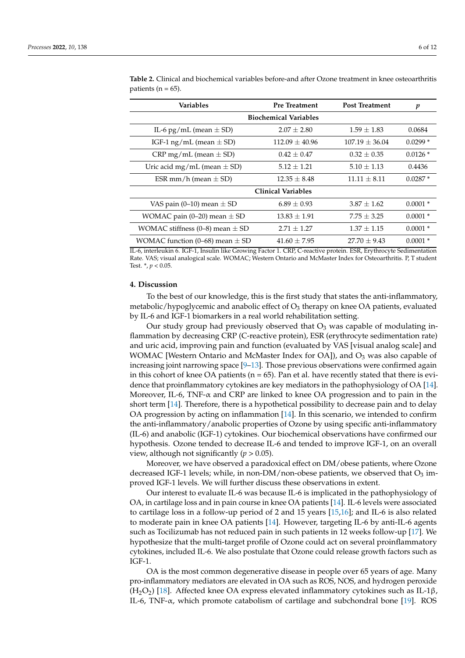| <b>Variables</b>                      | <b>Pre Treatment</b> | <b>Post Treatment</b> | p         |  |  |  |  |  |  |
|---------------------------------------|----------------------|-----------------------|-----------|--|--|--|--|--|--|
| <b>Biochemical Variables</b>          |                      |                       |           |  |  |  |  |  |  |
| IL-6 pg/mL (mean $\pm$ SD)            | $2.07 + 2.80$        | $1.59 + 1.83$         | 0.0684    |  |  |  |  |  |  |
| IGF-1 ng/mL (mean $\pm$ SD)           | $112.09 + 40.96$     | $107.19 + 36.04$      | $0.0299*$ |  |  |  |  |  |  |
| CRP mg/mL (mean $\pm$ SD)             | $0.42 + 0.47$        | $0.32 + 0.35$         | $0.0126*$ |  |  |  |  |  |  |
| Uric acid mg/mL (mean $\pm$ SD)       | $5.12 + 1.21$        | $5.10 + 1.13$         | 0.4436    |  |  |  |  |  |  |
| ESR mm/h (mean $\pm$ SD)              | $12.35 \pm 8.48$     | $11.11 + 8.11$        | $0.0287*$ |  |  |  |  |  |  |
| <b>Clinical Variables</b>             |                      |                       |           |  |  |  |  |  |  |
| VAS pain (0–10) mean $\pm$ SD         | $6.89 + 0.93$        | $3.87 + 1.62$         | $0.0001*$ |  |  |  |  |  |  |
| WOMAC pain (0–20) mean $\pm$ SD       | $13.83 + 1.91$       | $7.75 + 3.25$         | $0.0001*$ |  |  |  |  |  |  |
| WOMAC stiffness $(0-8)$ mean $\pm$ SD | $2.71 \pm 1.27$      | $1.37 + 1.15$         | $0.0001*$ |  |  |  |  |  |  |
| WOMAC function (0–68) mean $\pm$ SD   | $41.60 \pm 7.95$     | $27.70 + 9.43$        | $0.0001*$ |  |  |  |  |  |  |

<span id="page-5-0"></span>**Table 2.** Clinical and biochemical variables before-and after Ozone treatment in knee osteoarthritis patients ( $n = 65$ ).

IL-6, interleukin 6. IGF-1, Insulin like Growing Factor 1. CRP, C-reactive protein. ESR, Erythrocyte Sedimentation Rate. VAS; visual analogical scale. WOMAC; Western Ontario and McMaster Index for Osteoarthritis. P, T student Test. \*, *p* < 0.05.

### **4. Discussion**

To the best of our knowledge, this is the first study that states the anti-inflammatory, metabolic/hypoglycemic and anabolic effect of  $O_3$  therapy on knee OA patients, evaluated by IL-6 and IGF-1 biomarkers in a real world rehabilitation setting.

Our study group had previously observed that  $O_3$  was capable of modulating inflammation by decreasing CRP (C-reactive protein), ESR (erythrocyte sedimentation rate) and uric acid, improving pain and function (evaluated by VAS [visual analog scale] and WOMAC [Western Ontario and McMaster Index for OA]), and  $O_3$  was also capable of increasing joint narrowing space  $[9-13]$  $[9-13]$ . Those previous observations were confirmed again in this cohort of knee OA patients ( $n = 65$ ). Pan et al. have recently stated that there is evidence that proinflammatory cytokines are key mediators in the pathophysiology of OA [\[14\]](#page-10-1). Moreover, IL-6, TNF- $\alpha$  and CRP are linked to knee OA progression and to pain in the short term [\[14\]](#page-10-1). Therefore, there is a hypothetical possibility to decrease pain and to delay OA progression by acting on inflammation [\[14\]](#page-10-1). In this scenario, we intended to confirm the anti-inflammatory/anabolic properties of Ozone by using specific anti-inflammatory (IL-6) and anabolic (IGF-1) cytokines. Our biochemical observations have confirmed our hypothesis. Ozone tended to decrease IL-6 and tended to improve IGF-1, on an overall view, although not significantly (*p* > 0.05).

Moreover, we have observed a paradoxical effect on DM/obese patients, where Ozone decreased IGF-1 levels; while, in non-DM/non-obese patients, we observed that  $O_3$  improved IGF-1 levels. We will further discuss these observations in extent.

Our interest to evaluate IL-6 was because IL-6 is implicated in the pathophysiology of OA, in cartilage loss and in pain course in knee OA patients [\[14\]](#page-10-1). IL-6 levels were associated to cartilage loss in a follow-up period of 2 and 15 years [\[15](#page-10-2)[,16\]](#page-10-3); and IL-6 is also related to moderate pain in knee OA patients [\[14\]](#page-10-1). However, targeting IL-6 by anti-IL-6 agents such as Tocilizumab has not reduced pain in such patients in 12 weeks follow-up [\[17\]](#page-10-4). We hypothesize that the multi-target profile of Ozone could act on several proinflammatory cytokines, included IL-6. We also postulate that Ozone could release growth factors such as IGF-1.

OA is the most common degenerative disease in people over 65 years of age. Many pro-inflammatory mediators are elevated in OA such as ROS, NOS, and hydrogen peroxide (H<sub>2</sub>O<sub>2</sub>) [\[18\]](#page-10-5). Affected knee OA express elevated inflammatory cytokines such as IL-1β, IL-6, TNF- $\alpha$ , which promote catabolism of cartilage and subchondral bone [\[19\]](#page-10-6). ROS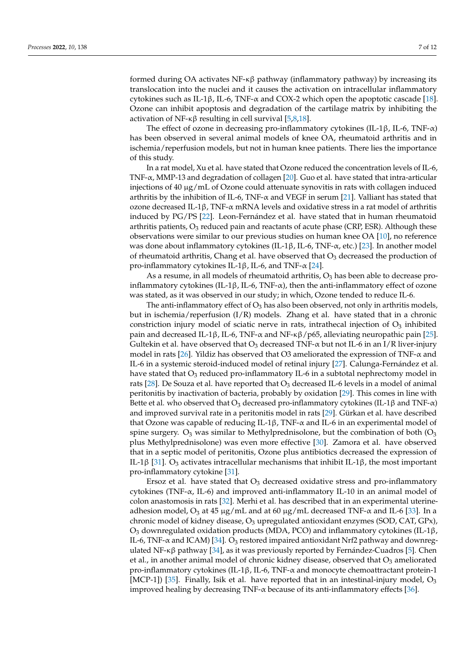formed during OA activates NF- $\kappa\beta$  pathway (inflammatory pathway) by increasing its translocation into the nuclei and it causes the activation on intracellular inflammatory cytokines such as IL-1β, IL-6, TNF-α and COX-2 which open the apoptotic cascade [\[18\]](#page-10-5). Ozone can inhibit apoptosis and degradation of the cartilage matrix by inhibiting the activation of NF-κβ resulting in cell survival [\[5,](#page-9-4)[8,](#page-9-7)[18\]](#page-10-5).

The effect of ozone in decreasing pro-inflammatory cytokines (IL-1β, IL-6, TNF- $\alpha$ ) has been observed in several animal models of knee OA, rheumatoid arthritis and in ischemia/reperfusion models, but not in human knee patients. There lies the importance of this study.

In a rat model, Xu et al. have stated that Ozone reduced the concentration levels of IL-6, TNF-α, MMP-13 and degradation of collagen [\[20\]](#page-10-7). Guo et al. have stated that intra-articular injections of 40  $\mu$ g/mL of Ozone could attenuate synovitis in rats with collagen induced arthritis by the inhibition of IL-6, TNF- $\alpha$  and VEGF in serum [\[21\]](#page-10-8). Valliant has stated that ozone decreased IL-1β, TNF-α mRNA levels and oxidative stress in a rat model of arthritis induced by PG/PS [\[22\]](#page-10-9). Leon-Fernández et al. have stated that in human rheumatoid arthritis patients,  $O_3$  reduced pain and reactants of acute phase (CRP, ESR). Although these observations were similar to our previous studies on human knee OA [\[10\]](#page-10-10), no reference was done about inflammatory cytokines (IL-1β, IL-6, TNF-α, etc.) [\[23\]](#page-10-11). In another model of rheumatoid arthritis, Chang et al. have observed that  $O_3$  decreased the production of pro-inflammatory cytokines IL-1β, IL-6, and TNF-α [\[24\]](#page-10-12).

As a resume, in all models of rheumatoid arthritis,  $O_3$  has been able to decrease proinflammatory cytokines (IL-1β, IL-6, TNF-α), then the anti-inflammatory effect of ozone was stated, as it was observed in our study; in which, Ozone tended to reduce IL-6.

The anti-inflammatory effect of  $O_3$  has also been observed, not only in arthritis models, but in ischemia/reperfusion (I/R) models. Zhang et al. have stated that in a chronic constriction injury model of sciatic nerve in rats, intrathecal injection of  $O<sub>3</sub>$  inhibited pain and decreased IL-1β, IL-6, TNF- $\alpha$  and NF-κβ/p65, alleviating neuropathic pain [\[25\]](#page-10-13). Gultekin et al. have observed that  $O_3$  decreased TNF- $\alpha$  but not IL-6 in an I/R liver-injury model in rats [\[26\]](#page-10-14). Yildiz has observed that O3 ameliorated the expression of TNF-α and IL-6 in a systemic steroid-induced model of retinal injury [\[27\]](#page-10-15). Calunga-Fernández et al. have stated that  $O_3$  reduced pro-inflammatory IL-6 in a subtotal nephrectomy model in rats [\[28\]](#page-10-16). De Souza et al. have reported that  $O_3$  decreased IL-6 levels in a model of animal peritonitis by inactivation of bacteria, probably by oxidation [\[29\]](#page-10-17). This comes in line with Bette et al. who observed that  $O_3$  decreased pro-inflammatory cytokines (IL-1 $\beta$  and TNF- $\alpha$ ) and improved survival rate in a peritonitis model in rats [\[29\]](#page-10-17). Gürkan et al. have described that Ozone was capable of reducing IL-1 $\beta$ , TNF- $\alpha$  and IL-6 in an experimental model of spine surgery.  $O_3$  was similar to Methylprednisolone, but the combination of both  $(O_3)$ plus Methylprednisolone) was even more effective [\[30\]](#page-10-18). Zamora et al. have observed that in a septic model of peritonitis, Ozone plus antibiotics decreased the expression of IL-1β [\[31\]](#page-10-19). O<sub>3</sub> activates intracellular mechanisms that inhibit IL-1β, the most important pro-inflammatory cytokine [\[31\]](#page-10-19).

Ersoz et al. have stated that  $O_3$  decreased oxidative stress and pro-inflammatory cytokines (TNF-α, IL-6) and improved anti-inflammatory IL-10 in an animal model of colon anastomosis in rats [\[32\]](#page-10-20). Merhi et al. has described that in an experimental uterineadhesion model,  $O_3$  at 45  $\mu$ g/mL and at 60  $\mu$ g/mL decreased TNF- $\alpha$  and IL-6 [\[33\]](#page-10-21). In a chronic model of kidney disease,  $O_3$  upregulated antioxidant enzymes (SOD, CAT, GPx), O<sub>3</sub> downregulated oxidation products (MDA, PCO) and inflammatory cytokines (IL-1β, IL-6, TNF-α and ICAM) [\[34\]](#page-10-22). O<sup>3</sup> restored impaired antioxidant Nrf2 pathway and downregulated NF-κβ pathway [\[34\]](#page-10-22), as it was previously reported by Fernández-Cuadros [\[5\]](#page-9-4). Chen et al., in another animal model of chronic kidney disease, observed that  $O<sub>3</sub>$  ameliorated pro-inflammatory cytokines (IL-1β, IL-6, TNF-α and monocyte chemoattractant protein-1 [MCP-1]) [\[35\]](#page-11-0). Finally, Isik et al. have reported that in an intestinal-injury model,  $O_3$ improved healing by decreasing  $TNF-\alpha$  because of its anti-inflammatory effects [\[36\]](#page-11-1).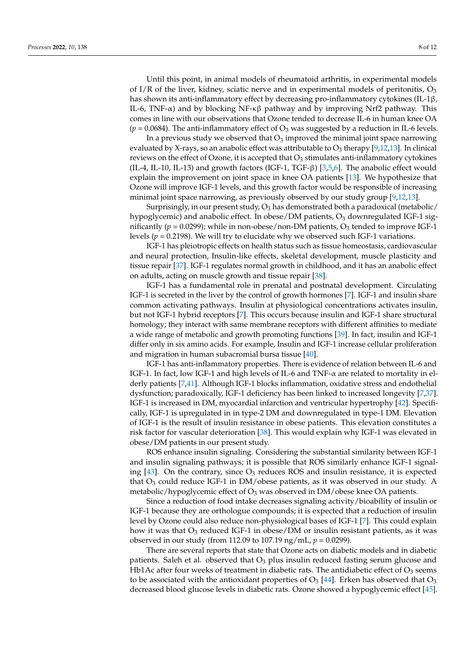Until this point, in animal models of rheumatoid arthritis, in experimental models of I/R of the liver, kidney, sciatic nerve and in experimental models of peritonitis,  $O_3$ has shown its anti-inflammatory effect by decreasing pro-inflammatory cytokines (IL-1β, IL-6, TNF- $\alpha$ ) and by blocking NF- $\kappa\beta$  pathway and by improving Nrf2 pathway. This comes in line with our observations that Ozone tended to decrease IL-6 in human knee OA  $(p = 0.0684)$ . The anti-inflammatory effect of  $O_3$  was suggested by a reduction in IL-6 levels.

In a previous study we observed that  $O_3$  improved the minimal joint space narrowing evaluated by X-rays, so an anabolic effect was attributable to  $O_3$  therapy [\[9,](#page-9-8)[12,](#page-10-23)[13\]](#page-10-0). In clinical reviews on the effect of Ozone, it is accepted that  $O_3$  stimulates anti-inflammatory cytokines (IL-4, IL-10, IL-13) and growth factors (IGF-1, TGF-β) [\[3,](#page-9-2)[5](#page-9-4)[,6\]](#page-9-5). The anabolic effect would explain the improvement on joint space in knee OA patients [\[13\]](#page-10-0). We hypothesize that Ozone will improve IGF-1 levels, and this growth factor would be responsible of increasing minimal joint space narrowing, as previously observed by our study group [\[9,](#page-9-8)[12,](#page-10-23)[13\]](#page-10-0).

Surprisingly, in our present study,  $O_3$  has demonstrated both a paradoxical (metabolic/ hypoglycemic) and anabolic effect. In obese/DM patients, O<sub>3</sub> downregulated IGF-1 significantly ( $p = 0.0299$ ); while in non-obese/non-DM patients,  $O_3$  tended to improve IGF-1 levels ( $p = 0.2198$ ). We will try to elucidate why we observed such IGF-1 variations.

IGF-1 has pleiotropic effects on health status such as tissue homeostasis, cardiovascular and neural protection, Insulin-like effects, skeletal development, muscle plasticity and tissue repair [\[37\]](#page-11-2). IGF-1 regulates normal growth in childhood, and it has an anabolic effect on adults, acting on muscle growth and tissue repair [\[38\]](#page-11-3).

IGF-1 has a fundamental role in prenatal and postnatal development. Circulating IGF-1 is secreted in the liver by the control of growth hormones [\[7\]](#page-9-6). IGF-1 and insulin share common activating pathways. Insulin at physiological concentrations activates insulin, but not IGF-1 hybrid receptors [\[7\]](#page-9-6). This occurs because insulin and IGF-1 share structural homology; they interact with same membrane receptors with different affinities to mediate a wide range of metabolic and growth promoting functions [\[39\]](#page-11-4). In fact, insulin and IGF-1 differ only in six amino acids. For example, Insulin and IGF-1 increase cellular proliferation and migration in human subacromial bursa tissue [\[40\]](#page-11-5).

IGF-1 has anti-inflammatory properties. There is evidence of relation between IL-6 and IGF-1. In fact, low IGF-1 and high levels of IL-6 and  $TNF-\alpha$  are related to mortality in elderly patients [\[7](#page-9-6)[,41\]](#page-11-6). Although IGF-1 blocks inflammation, oxidative stress and endothelial dysfunction; paradoxically, IGF-1 deficiency has been linked to increased longevity [\[7,](#page-9-6)[37\]](#page-11-2). IGF-1 is increased in DM, myocardial infarction and ventricular hypertrophy [\[42\]](#page-11-7). Specifically, IGF-1 is upregulated in in type-2 DM and downregulated in type-1 DM. Elevation of IGF-1 is the result of insulin resistance in obese patients. This elevation constitutes a risk factor for vascular deterioration [\[38\]](#page-11-3). This would explain why IGF-1 was elevated in obese/DM patients in our present study.

ROS enhance insulin signaling. Considering the substantial similarity between IGF-1 and insulin signaling pathways; it is possible that ROS similarly enhance IGF-1 signaling  $[43]$ . On the contrary, since  $O_3$  reduces ROS and insulin resistance, it is expected that  $O_3$  could reduce IGF-1 in DM/obese patients, as it was observed in our study. A metabolic/hypoglycemic effect of  $O_3$  was observed in DM/obese knee OA patients.

Since a reduction of food intake decreases signaling activity/bioability of insulin or IGF-1 because they are orthologue compounds; it is expected that a reduction of insulin level by Ozone could also reduce non-physiological bases of IGF-1 [\[7\]](#page-9-6). This could explain how it was that  $O_3$  reduced IGF-1 in obese/DM or insulin resistant patients, as it was observed in our study (from 112.09 to 107.19 ng/mL, *p* = 0.0299).

There are several reports that state that Ozone acts on diabetic models and in diabetic patients. Saleh et al. observed that  $O_3$  plus insulin reduced fasting serum glucose and Hb1Ac after four weeks of treatment in diabetic rats. The antidiabetic effect of  $O_3$  seems to be associated with the antioxidant properties of  $O_3$  [\[44\]](#page-11-9). Erken has observed that  $O_3$ decreased blood glucose levels in diabetic rats. Ozone showed a hypoglycemic effect [\[45\]](#page-11-10).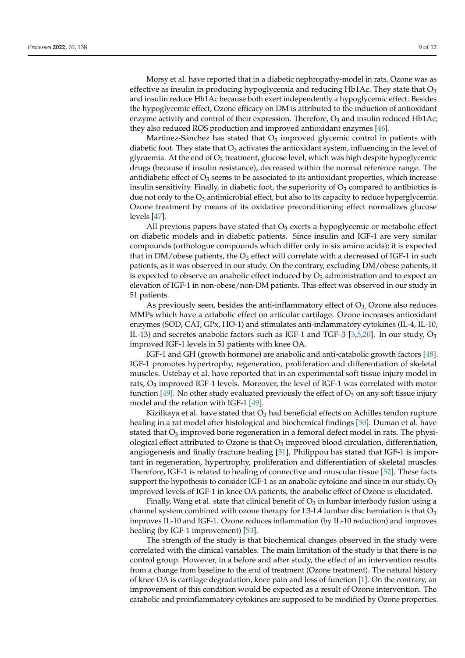Morsy et al. have reported that in a diabetic nephropathy-model in rats, Ozone was as effective as insulin in producing hypoglycemia and reducing Hb1Ac. They state that  $O_3$ and insulin reduce Hb1Ac because both exert independently a hypoglycemic effect. Besides the hypoglycemic effect, Ozone efficacy on DM is attributed to the induction of antioxidant enzyme activity and control of their expression. Therefore,  $O_3$  and insulin reduced Hb1Ac; they also reduced ROS production and improved antioxidant enzymes [\[46\]](#page-11-11).

Martinez-Sánchez has stated that  $O_3$  improved glycemic control in patients with diabetic foot. They state that  $O_3$  activates the antioxidant system, influencing in the level of glycaemia. At the end of O<sup>3</sup> treatment, glucose level, which was high despite hypoglycemic drugs (because if insulin resistance), decreased within the normal reference range. The antidiabetic effect of  $O_3$  seems to be associated to its antioxidant properties, which increase insulin sensitivity. Finally, in diabetic foot, the superiority of  $O<sub>3</sub>$  compared to antibiotics is due not only to the  $O_3$  antimicrobial effect, but also to its capacity to reduce hyperglycemia. Ozone treatment by means of its oxidative preconditioning effect normalizes glucose levels [\[47\]](#page-11-12).

All previous papers have stated that  $O<sub>3</sub>$  exerts a hypoglycemic or metabolic effect on diabetic models and in diabetic patients. Since insulin and IGF-1 are very similar compounds (orthologue compounds which differ only in six amino acids); it is expected that in DM/obese patients, the  $O_3$  effect will correlate with a decreased of IGF-1 in such patients, as it was observed in our study. On the contrary, excluding DM/obese patients, it is expected to observe an anabolic effect induced by  $O_3$  administration and to expect an elevation of IGF-1 in non-obese/non-DM patients. This effect was observed in our study in 51 patients.

As previously seen, besides the anti-inflammatory effect of  $O<sub>3</sub>$ , Ozone also reduces MMPs which have a catabolic effect on articular cartilage. Ozone increases antioxidant enzymes (SOD, CAT, GPx, HO-1) and stimulates anti-inflammatory cytokines (IL-4, IL-10, IL-13) and secretes anabolic factors such as IGF-1 and TGF- $\beta$  [\[3,](#page-9-2)[5,](#page-9-4)[20\]](#page-10-7). In our study, O<sub>3</sub> improved IGF-1 levels in 51 patients with knee OA.

IGF-1 and GH (growth hormone) are anabolic and anti-catabolic growth factors [\[48\]](#page-11-13). IGF-1 promotes hypertrophy, regeneration, proliferation and differentiation of skeletal muscles. Ustebay et al. have reported that in an experimental soft tissue injury model in rats,  $O_3$  improved IGF-1 levels. Moreover, the level of IGF-1 was correlated with motor function [\[49\]](#page-11-14). No other study evaluated previously the effect of  $O_3$  on any soft tissue injury model and the relation with IGF-1 [\[49\]](#page-11-14).

Kizilkaya et al. have stated that  $O_3$  had beneficial effects on Achilles tendon rupture healing in a rat model after histological and biochemical findings [\[50\]](#page-11-15). Duman et al. have stated that  $O_3$  improved bone regeneration in a femoral defect model in rats. The physiological effect attributed to Ozone is that  $O_3$  improved blood circulation, differentiation, angiogenesis and finally fracture healing [\[51\]](#page-11-16). Philippou has stated that IGF-1 is important in regeneration, hypertrophy, proliferation and differentiation of skeletal muscles. Therefore, IGF-1 is related to healing of connective and muscular tissue [\[52\]](#page-11-17). These facts support the hypothesis to consider IGF-1 as an anabolic cytokine and since in our study,  $O_3$ improved levels of IGF-1 in knee OA patients, the anabolic effect of Ozone is elucidated.

Finally, Wang et al. state that clinical benefit of  $O_3$  in lumbar interbody fusion using a channel system combined with ozone therapy for L3-L4 lumbar disc herniation is that  $O_3$ improves IL-10 and IGF-1. Ozone reduces inflammation (by IL-10 reduction) and improves healing (by IGF-1 improvement) [\[53\]](#page-11-18).

The strength of the study is that biochemical changes observed in the study were correlated with the clinical variables. The main limitation of the study is that there is no control group. However, in a before and after study, the effect of an intervention results from a change from baseline to the end of treatment (Ozone treatment). The natural history of knee OA is cartilage degradation, knee pain and loss of function [\[1\]](#page-9-0). On the contrary, an improvement of this condition would be expected as a result of Ozone intervention. The catabolic and proinflammatory cytokines are supposed to be modified by Ozone properties.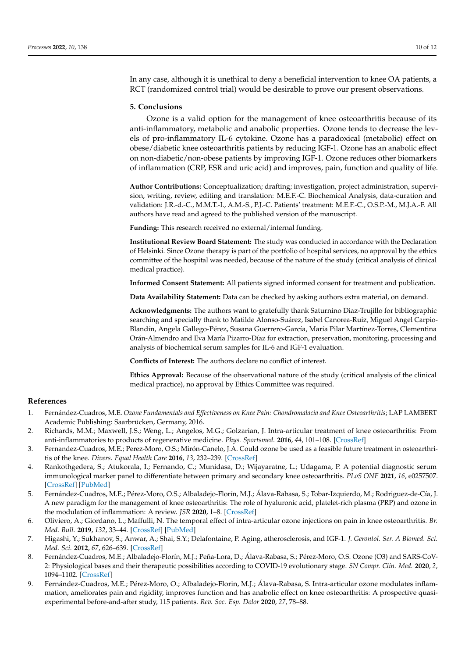In any case, although it is unethical to deny a beneficial intervention to knee OA patients, a RCT (randomized control trial) would be desirable to prove our present observations.

#### **5. Conclusions**

Ozone is a valid option for the management of knee osteoarthritis because of its anti-inflammatory, metabolic and anabolic properties. Ozone tends to decrease the levels of pro-inflammatory IL-6 cytokine. Ozone has a paradoxical (metabolic) effect on obese/diabetic knee osteoarthritis patients by reducing IGF-1. Ozone has an anabolic effect on non-diabetic/non-obese patients by improving IGF-1. Ozone reduces other biomarkers of inflammation (CRP, ESR and uric acid) and improves, pain, function and quality of life.

**Author Contributions:** Conceptualization; drafting; investigation, project administration, supervision, writing, review, editing and translation: M.E.F.-C. Biochemical Analysis, data-curation and validation: J.R.-d.-C., M.M.T.-I., A.M.-S., P.J.-C. Patients' treatment: M.E.F.-C., O.S.P.-M., M.J.A.-F. All authors have read and agreed to the published version of the manuscript.

**Funding:** This research received no external/internal funding.

**Institutional Review Board Statement:** The study was conducted in accordance with the Declaration of Helsinki. Since Ozone therapy is part of the portfolio of hospital services, no approval by the ethics committee of the hospital was needed, because of the nature of the study (critical analysis of clinical medical practice).

**Informed Consent Statement:** All patients signed informed consent for treatment and publication.

**Data Availability Statement:** Data can be checked by asking authors extra material, on demand.

**Acknowledgments:** The authors want to gratefully thank Saturnino Diaz-Trujillo for bibliographic searching and specially thank to Matilde Alonso-Suárez, Isabel Canorea-Ruiz, Miguel Angel Carpio-Blandín, Angela Gallego-Pérez, Susana Guerrero-García, María Pilar Martínez-Torres, Clementina Orán-Almendro and Eva María Pizarro-Díaz for extraction, preservation, monitoring, processing and analysis of biochemical serum samples for IL-6 and IGF-1 evaluation.

**Conflicts of Interest:** The authors declare no conflict of interest.

**Ethics Approval:** Because of the observational nature of the study (critical analysis of the clinical medical practice), no approval by Ethics Committee was required.

## **References**

- <span id="page-9-0"></span>1. Fernández-Cuadros, M.E. *Ozone Fundamentals and Effectiveness on Knee Pain: Chondromalacia and Knee Osteoarthritis*; LAP LAMBERT Academic Publishing: Saarbrücken, Germany, 2016.
- <span id="page-9-1"></span>2. Richards, M.M.; Maxwell, J.S.; Weng, L.; Angelos, M.G.; Golzarian, J. Intra-articular treatment of knee osteoarthritis: From anti-inflammatories to products of regenerative medicine. *Phys. Sportsmed.* **2016**, *44*, 101–108. [\[CrossRef\]](http://doi.org/10.1080/00913847.2016.1168272)
- <span id="page-9-2"></span>3. Fernandez-Cuadros, M.E.; Perez-Moro, O.S.; Mirón-Canelo, J.A. Could ozone be used as a feasible future treatment in osteoarthritis of the knee. *Divers. Equal Health Care* **2016**, *13*, 232–239. [\[CrossRef\]](http://doi.org/10.21767/2049-5471.100057)
- <span id="page-9-3"></span>4. Rankothgedera, S.; Atukorala, I.; Fernando, C.; Munidasa, D.; Wijayaratne, L.; Udagama, P. A potential diagnostic serum immunological marker panel to differentiate between primary and secondary knee osteoarthritis. *PLoS ONE* **2021**, *16*, e0257507. [\[CrossRef\]](http://doi.org/10.1371/journal.pone.0257507) [\[PubMed\]](http://www.ncbi.nlm.nih.gov/pubmed/34543351)
- <span id="page-9-4"></span>5. Fernández-Cuadros, M.E.; Pérez-Moro, O.S.; Albaladejo-Florín, M.J.; Álava-Rabasa, S.; Tobar-Izquierdo, M.; Rodriguez-de-Cía, J. A new paradigm for the management of knee osteoarthritis: The role of hyaluronic acid, platelet-rich plasma (PRP) and ozone in the modulation of inflammation: A review. *JSR* **2020**, 1–8. [\[CrossRef\]](http://doi.org/10.31487/j.JSR.2020.01.01)
- <span id="page-9-5"></span>6. Oliviero, A.; Giordano, L.; Maffulli, N. The temporal effect of intra-articular ozone injections on pain in knee osteoarthritis. *Br. Med. Bull.* **2019**, *132*, 33–44. [\[CrossRef\]](http://doi.org/10.1093/bmb/ldz028) [\[PubMed\]](http://www.ncbi.nlm.nih.gov/pubmed/31602459)
- <span id="page-9-6"></span>7. Higashi, Y.; Sukhanov, S.; Anwar, A.; Shai, S.Y.; Delafontaine, P. Aging, atherosclerosis, and IGF-1. *J. Gerontol. Ser. A Biomed. Sci. Med. Sci.* **2012**, *67*, 626–639. [\[CrossRef\]](http://doi.org/10.1093/gerona/gls102)
- <span id="page-9-7"></span>8. Fernández-Cuadros, M.E.; Albaladejo-Florín, M.J.; Peña-Lora, D.; Álava-Rabasa, S.; Pérez-Moro, O.S. Ozone (O3) and SARS-CoV-2: Physiological bases and their therapeutic possibilities according to COVID-19 evolutionary stage. *SN Compr. Clin. Med.* **2020**, *2*, 1094–1102. [\[CrossRef\]](http://doi.org/10.1007/s42399-020-00328-7)
- <span id="page-9-8"></span>9. Fernández-Cuadros, M.E.; Pérez-Moro, O.; Albaladejo-Florin, M.J.; Álava-Rabasa, S. Intra-articular ozone modulates inflammation, ameliorates pain and rigidity, improves function and has anabolic effect on knee osteoarthritis: A prospective quasiexperimental before-and-after study, 115 patients. *Rev. Soc. Esp. Dolor* **2020**, *27*, 78–88.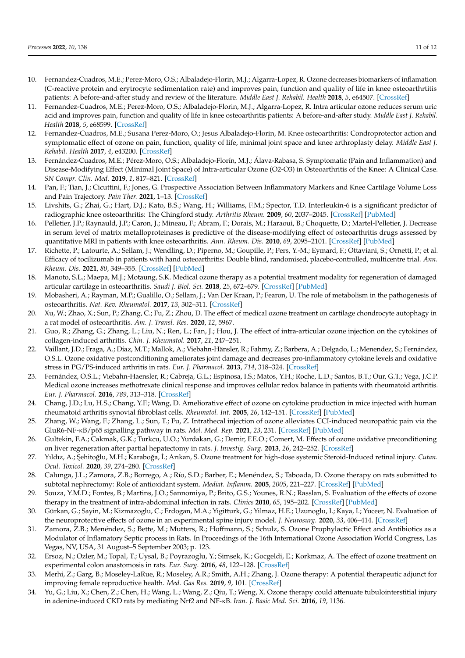- <span id="page-10-10"></span>10. Fernandez-Cuadros, M.E.; Perez-Moro, O.S.; Albaladejo-Florin, M.J.; Algarra-Lopez, R. Ozone decreases biomarkers of inflamation (C-reactive protein and erytrocyte sedimentation rate) and improves pain, function and quality of life in knee osteoarthrtitis patients: A before-and-after study and review of the literature. *Middle East J. Rehabil. Health* **2018**, *5*, e64507. [\[CrossRef\]](http://doi.org/10.5812/mejrh.64507)
- 11. Fernandez-Cuadros, M.E.; Perez-Moro, O.S.; Albaladejo-Florin, M.J.; Algarra-Lopez, R. Intra articular ozone reduces serum uric acid and improves pain, function and quality of life in knee osteoarthritis patients: A before-and-after study. *Middle East J. Rehabil. Health* **2018**, *5*, e68599. [\[CrossRef\]](http://doi.org/10.5812/mejrh.68599)
- <span id="page-10-23"></span>12. Fernandez-Cuadros, M.E.; Susana Perez-Moro, O.; Jesus Albaladejo-Florin, M. Knee osteoarthritis: Condroprotector action and symptomatic effect of ozone on pain, function, quality of life, minimal joint space and knee arthroplasty delay. *Middle East J. Rehabil. Health* **2017**, *4*, e43200. [\[CrossRef\]](http://doi.org/10.17795/mejrh-43200)
- <span id="page-10-0"></span>13. Fernández-Cuadros, M.E.; Pérez-Moro, O.S.; Albaladejo-Florín, M.J.; Álava-Rabasa, S. Symptomatic (Pain and Inflammation) and Disease-Modifying Effect (Minimal Joint Space) of Intra-articular Ozone (O2-O3) in Osteoarthritis of the Knee: A Clinical Case. *SN Compr. Clin. Med.* **2019**, *1*, 817–821. [\[CrossRef\]](http://doi.org/10.1007/s42399-019-00122-0)
- <span id="page-10-1"></span>14. Pan, F.; Tian, J.; Cicuttini, F.; Jones, G. Prospective Association Between Inflammatory Markers and Knee Cartilage Volume Loss and Pain Trajectory. *Pain Ther.* **2021**, 1–13. [\[CrossRef\]](http://doi.org/10.1007/s40122-021-00341-1)
- <span id="page-10-2"></span>15. Livshits, G.; Zhai, G.; Hart, D.J.; Kato, B.S.; Wang, H.; Williams, F.M.; Spector, T.D. Interleukin-6 is a significant predictor of radiographic knee osteoarthritis: The Chingford study. *Arthritis Rheum.* **2009**, *60*, 2037–2045. [\[CrossRef\]](http://doi.org/10.1002/art.24598) [\[PubMed\]](http://www.ncbi.nlm.nih.gov/pubmed/19565477)
- <span id="page-10-3"></span>16. Pelletier, J.P.; Raynauld, J.P.; Caron, J.; Mineau, F.; Abram, F.; Dorais, M.; Haraoui, B.; Choquette, D.; Martel-Pelletier, J. Decrease in serum level of matrix metalloproteinases is predictive of the disease-modifying effect of osteoarthritis drugs assessed by quantitative MRI in patients with knee osteoarthritis. *Ann. Rheum. Dis.* **2010**, *69*, 2095–2101. [\[CrossRef\]](http://doi.org/10.1136/ard.2009.122002) [\[PubMed\]](http://www.ncbi.nlm.nih.gov/pubmed/20570834)
- <span id="page-10-4"></span>17. Richette, P.; Latourte, A.; Sellam, J.; Wendling, D.; Piperno, M.; Goupille, P.; Pers, Y.-M.; Eymard, F.; Ottaviani, S.; Ornetti, P.; et al. Efficacy of tocilizumab in patients with hand osteoarthritis: Double blind, randomised, placebo-controlled, multicentre trial. *Ann. Rheum. Dis.* **2021**, *80*, 349–355. [\[CrossRef\]](http://doi.org/10.1136/annrheumdis-2020-218547) [\[PubMed\]](http://www.ncbi.nlm.nih.gov/pubmed/33055078)
- <span id="page-10-5"></span>18. Manoto, S.L.; Maepa, M.J.; Motaung, S.K. Medical ozone therapy as a potential treatment modality for regeneration of damaged articular cartilage in osteoarthritis. *Saudi J. Biol. Sci.* **2018**, *25*, 672–679. [\[CrossRef\]](http://doi.org/10.1016/j.sjbs.2016.02.002) [\[PubMed\]](http://www.ncbi.nlm.nih.gov/pubmed/29736142)
- <span id="page-10-6"></span>19. Mobasheri, A.; Rayman, M.P.; Gualillo, O.; Sellam, J.; Van Der Kraan, P.; Fearon, U. The role of metabolism in the pathogenesis of osteoarthritis. *Nat. Rev. Rheumatol.* **2017**, *13*, 302–311. [\[CrossRef\]](http://doi.org/10.1038/nrrheum.2017.50)
- <span id="page-10-7"></span>20. Xu, W.; Zhao, X.; Sun, P.; Zhang, C.; Fu, Z.; Zhou, D. The effect of medical ozone treatment on cartilage chondrocyte autophagy in a rat model of osteoarthritis. *Am. J. Transl. Res.* **2020**, *12*, 5967.
- <span id="page-10-8"></span>21. Guo, R.; Zhang, G.; Zhang, L.; Liu, N.; Ren, L.; Fan, J.; Hou, J. The effect of intra-articular ozone injection on the cytokines of collagen-induced arthritis. *Chin. J. Rheumatol.* **2017**, *21*, 247–251.
- <span id="page-10-9"></span>22. Vaillant, J.D.; Fraga, A.; Díaz, M.T.; Mallok, A.; Viebahn-Hänsler, R.; Fahmy, Z.; Barbera, A.; Delgado, L.; Menendez, S.; Fernández, O.S.L. Ozone oxidative postconditioning ameliorates joint damage and decreases pro-inflammatory cytokine levels and oxidative stress in PG/PS-induced arthritis in rats. *Eur. J. Pharmacol.* **2013**, *714*, 318–324. [\[CrossRef\]](http://doi.org/10.1016/j.ejphar.2013.07.034)
- <span id="page-10-11"></span>23. Fernández, O.S.L.; Viebahn-Haensler, R.; Cabreja, G.L.; Espinosa, I.S.; Matos, Y.H.; Roche, L.D.; Santos, B.T.; Our, G.T.; Vega, J.C.P. Medical ozone increases methotrexate clinical response and improves cellular redox balance in patients with rheumatoid arthritis. *Eur. J. Pharmacol.* **2016**, *789*, 313–318. [\[CrossRef\]](http://doi.org/10.1016/j.ejphar.2016.07.031)
- <span id="page-10-12"></span>24. Chang, J.D.; Lu, H.S.; Chang, Y.F.; Wang, D. Ameliorative effect of ozone on cytokine production in mice injected with human rheumatoid arthritis synovial fibroblast cells. *Rheumatol. Int.* **2005**, *26*, 142–151. [\[CrossRef\]](http://doi.org/10.1007/s00296-004-0526-1) [\[PubMed\]](http://www.ncbi.nlm.nih.gov/pubmed/15570426)
- <span id="page-10-13"></span>25. Zhang, W.; Wang, F.; Zhang, L.; Sun, T.; Fu, Z. Intrathecal injection of ozone alleviates CCI-induced neuropathic pain via the GluR6-NF-κB/p65 signalling pathway in rats. *Mol. Med. Rep.* **2021**, *23*, 231. [\[CrossRef\]](http://doi.org/10.3892/mmr.2021.11870) [\[PubMed\]](http://www.ncbi.nlm.nih.gov/pubmed/33537798)
- <span id="page-10-14"></span>26. Gultekin, F.A.; Cakmak, G.K.; Turkcu, U.O.; Yurdakan, G.; Demir, F.E.O.; Comert, M. Effects of ozone oxidative preconditioning on liver regeneration after partial hepatectomy in rats. *J. Investig. Surg.* **2013**, *26*, 242–252. [\[CrossRef\]](http://doi.org/10.3109/08941939.2012.750698)
- <span id="page-10-15"></span>27. Yıldız, A.; Şehitoğlu, M.H.; Karaboğa, İ.; Arıkan, S. Ozone treatment for high-dose systemic Steroid-Induced retinal injury. *Cutan. Ocul. Toxicol.* **2020**, *39*, 274–280. [\[CrossRef\]](http://doi.org/10.1080/15569527.2020.1790590)
- <span id="page-10-16"></span>28. Calunga, J.L.; Zamora, Z.B.; Borrego, A.; Río, S.D.; Barber, E.; Menéndez, S.; Taboada, D. Ozone therapy on rats submitted to subtotal nephrectomy: Role of antioxidant system. *Mediat. Inflamm.* **2005**, *2005*, 221–227. [\[CrossRef\]](http://doi.org/10.1155/MI.2005.221) [\[PubMed\]](http://www.ncbi.nlm.nih.gov/pubmed/16192672)
- <span id="page-10-17"></span>29. Souza, Y.M.D.; Fontes, B.; Martins, J.O.; Sannomiya, P.; Brito, G.S.; Younes, R.N.; Rasslan, S. Evaluation of the effects of ozone therapy in the treatment of intra-abdominal infection in rats. *Clinics* **2010**, *65*, 195–202. [\[CrossRef\]](http://doi.org/10.1590/S1807-59322010000200012) [\[PubMed\]](http://www.ncbi.nlm.nih.gov/pubmed/20186304)
- <span id="page-10-18"></span>30. Gürkan, G.; Sayin, M.; Kizmazoglu, C.; Erdogan, M.A.; Yigitturk, G.; Yilmaz, H.E.; Uzunoglu, I.; Kaya, I.; Yuceer, N. Evaluation of the neuroprotective effects of ozone in an experimental spine injury model. *J. Neurosurg.* **2020**, *33*, 406–414. [\[CrossRef\]](http://doi.org/10.3171/2020.2.SPINE191439)
- <span id="page-10-19"></span>31. Zamora, Z.B.; Menéndez, S.; Bette, M.; Mutters, R.; Hoffmann, S.; Schulz, S. Ozone Prophylactic Effect and Antibiotics as a Modulator of Inflamatory Septic process in Rats. In Proceedings of the 16th International Ozone Association World Congress, Las Vegas, NV, USA, 31 August–5 September 2003; p. 123.
- <span id="page-10-20"></span>32. Ersoz, N.; Ozler, M.; Topal, T.; Uysal, B.; Poyrazoglu, Y.; Simsek, K.; Gocgeldi, E.; Korkmaz, A. The effect of ozone treatment on experimental colon anastomosis in rats. *Eur. Surg.* **2016**, *48*, 122–128. [\[CrossRef\]](http://doi.org/10.1007/s10353-015-0372-2)
- <span id="page-10-21"></span>33. Merhi, Z.; Garg, B.; Moseley-LaRue, R.; Moseley, A.R.; Smith, A.H.; Zhang, J. Ozone therapy: A potential therapeutic adjunct for improving female reproductive health. *Med. Gas Res.* **2019**, *9*, 101. [\[CrossRef\]](http://doi.org/10.4103/2045-9912.260652)
- <span id="page-10-22"></span>34. Yu, G.; Liu, X.; Chen, Z.; Chen, H.; Wang, L.; Wang, Z.; Qiu, T.; Weng, X. Ozone therapy could attenuate tubulointerstitial injury in adenine-induced CKD rats by mediating Nrf2 and NF-κB. *Iran. J. Basic Med. Sci.* **2016**, *19*, 1136.